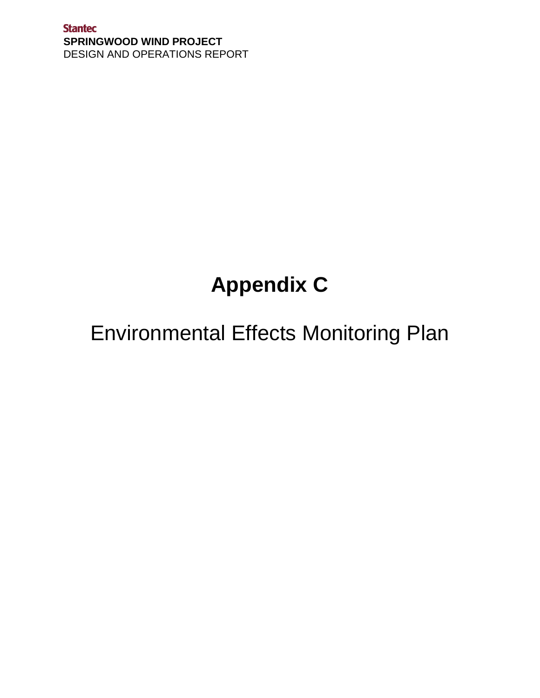**Stantec SPRINGWOOD WIND PROJECT** DESIGN AND OPERATIONS REPORT

# **Appendix C**

# Environmental Effects Monitoring Plan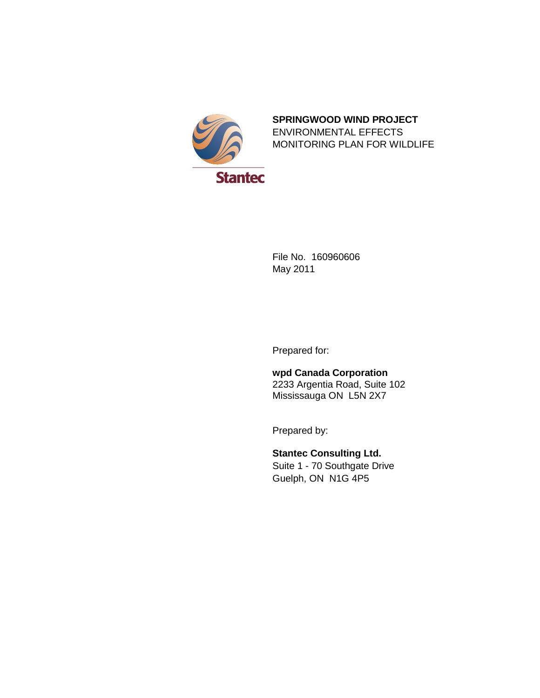

## **SPRINGWOOD WIND PROJECT** ENVIRONMENTAL EFFECTS MONITORING PLAN FOR WILDLIFE

File No. 160960606 May 2011

Prepared for:

**wpd Canada Corporation** 2233 Argentia Road, Suite 102 Mississauga ON L5N 2X7

Prepared by:

**Stantec Consulting Ltd.** Suite 1 - 70 Southgate Drive Guelph, ON N1G 4P5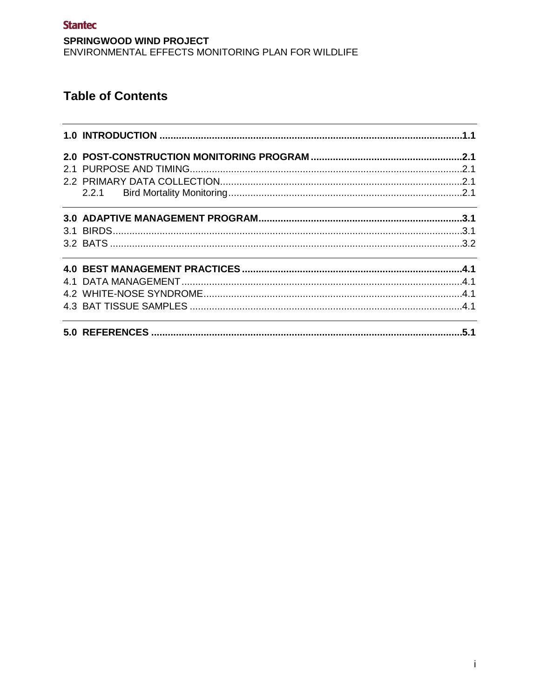# **Table of Contents**

|  | .1.1 |
|--|------|
|  |      |
|  |      |
|  |      |
|  |      |
|  |      |
|  |      |
|  |      |
|  |      |
|  |      |
|  |      |
|  |      |
|  |      |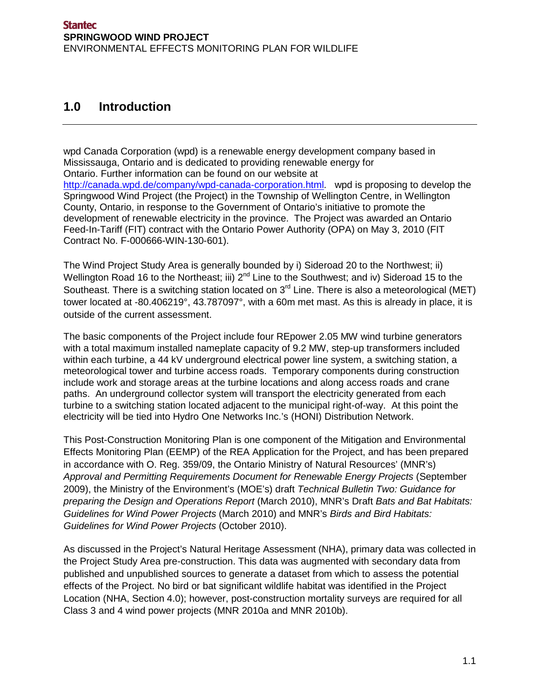## **1.0 Introduction**

wpd Canada Corporation (wpd) is a renewable energy development company based in Mississauga, Ontario and is dedicated to providing renewable energy for Ontario. Further information can be found on our website at http://canada.wpd.de/company/wpd-canada-corporation.html. wpd is proposing to develop the Springwood Wind Project (the Project) in the Township of Wellington Centre, in Wellington County, Ontario, in response to the Government of Ontario's initiative to promote the development of renewable electricity in the province. The Project was awarded an Ontario Feed-In-Tariff (FIT) contract with the Ontario Power Authority (OPA) on May 3, 2010 (FIT Contract No. F-000666-WIN-130-601).

The Wind Project Study Area is generally bounded by i) Sideroad 20 to the Northwest; ii) Wellington Road 16 to the Northeast; iii)  $2^{nd}$  Line to the Southwest; and iv) Sideroad 15 to the Southeast. There is a switching station located on 3<sup>rd</sup> Line. There is also a meteorological (MET) tower located at -80.406219°, 43.787097°, with a 60m met mast. As this is already in place, it is outside of the current assessment.

The basic components of the Project include four REpower 2.05 MW wind turbine generators with a total maximum installed nameplate capacity of 9.2 MW, step-up transformers included within each turbine, a 44 kV underground electrical power line system, a switching station, a meteorological tower and turbine access roads. Temporary components during construction include work and storage areas at the turbine locations and along access roads and crane paths. An underground collector system will transport the electricity generated from each turbine to a switching station located adjacent to the municipal right-of-way. At this point the electricity will be tied into Hydro One Networks Inc.'s (HONI) Distribution Network.

This Post-Construction Monitoring Plan is one component of the Mitigation and Environmental Effects Monitoring Plan (EEMP) of the REA Application for the Project, and has been prepared in accordance with O. Reg. 359/09, the Ontario Ministry of Natural Resources' (MNR's) *Approval and Permitting Requirements Document for Renewable Energy Projects* (September 2009), the Ministry of the Environment's (MOE's) draft *Technical Bulletin Two: Guidance for preparing the Design and Operations Report* (March 2010), MNR's Draft *Bats and Bat Habitats: Guidelines for Wind Power Projects* (March 2010) and MNR's *Birds and Bird Habitats: Guidelines for Wind Power Projects* (October 2010).

As discussed in the Project's Natural Heritage Assessment (NHA), primary data was collected in the Project Study Area pre-construction. This data was augmented with secondary data from published and unpublished sources to generate a dataset from which to assess the potential effects of the Project. No bird or bat significant wildlife habitat was identified in the Project Location (NHA, Section 4.0); however, post-construction mortality surveys are required for all Class 3 and 4 wind power projects (MNR 2010a and MNR 2010b).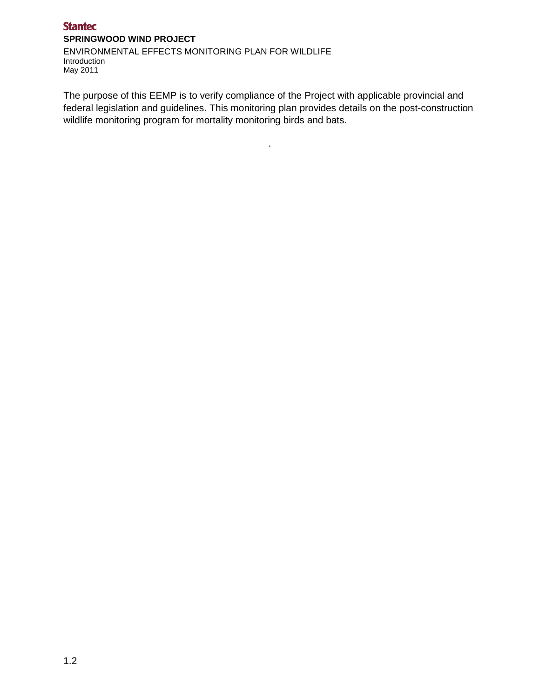#### **Stantec SPRINGWOOD WIND PROJECT**

ENVIRONMENTAL EFFECTS MONITORING PLAN FOR WILDLIFE Introduction May 2011

The purpose of this EEMP is to verify compliance of the Project with applicable provincial and federal legislation and guidelines. This monitoring plan provides details on the post-construction wildlife monitoring program for mortality monitoring birds and bats.

.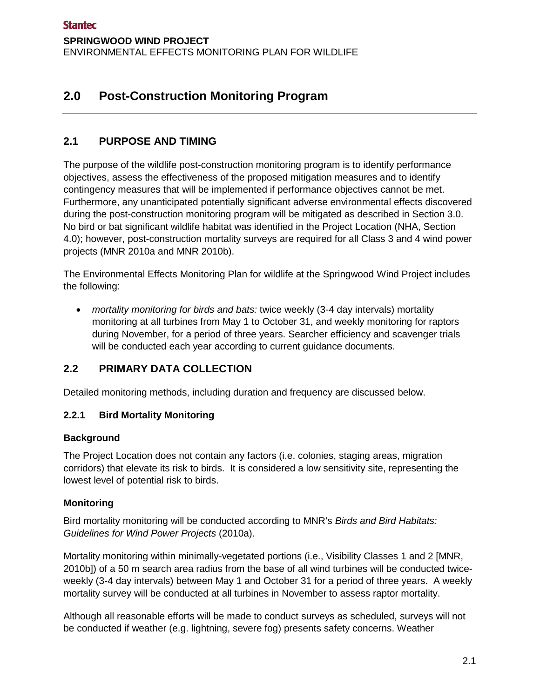# **2.0 Post-Construction Monitoring Program**

## **2.1 PURPOSE AND TIMING**

The purpose of the wildlife post-construction monitoring program is to identify performance objectives, assess the effectiveness of the proposed mitigation measures and to identify contingency measures that will be implemented if performance objectives cannot be met. Furthermore, any unanticipated potentially significant adverse environmental effects discovered during the post-construction monitoring program will be mitigated as described in Section 3.0. No bird or bat significant wildlife habitat was identified in the Project Location (NHA, Section 4.0); however, post-construction mortality surveys are required for all Class 3 and 4 wind power projects (MNR 2010a and MNR 2010b).

The Environmental Effects Monitoring Plan for wildlife at the Springwood Wind Project includes the following:

• *mortality monitoring for birds and bats:* twice weekly (3-4 day intervals) mortality monitoring at all turbines from May 1 to October 31, and weekly monitoring for raptors during November, for a period of three years. Searcher efficiency and scavenger trials will be conducted each year according to current guidance documents.

## **2.2 PRIMARY DATA COLLECTION**

Detailed monitoring methods, including duration and frequency are discussed below.

## **2.2.1 Bird Mortality Monitoring**

## **Background**

The Project Location does not contain any factors (i.e. colonies, staging areas, migration corridors) that elevate its risk to birds. It is considered a low sensitivity site, representing the lowest level of potential risk to birds.

## **Monitoring**

Bird mortality monitoring will be conducted according to MNR's *Birds and Bird Habitats: Guidelines for Wind Power Projects* (2010a).

Mortality monitoring within minimally-vegetated portions (i.e., Visibility Classes 1 and 2 [MNR, 2010b]) of a 50 m search area radius from the base of all wind turbines will be conducted twiceweekly (3-4 day intervals) between May 1 and October 31 for a period of three years. A weekly mortality survey will be conducted at all turbines in November to assess raptor mortality.

Although all reasonable efforts will be made to conduct surveys as scheduled, surveys will not be conducted if weather (e.g. lightning, severe fog) presents safety concerns. Weather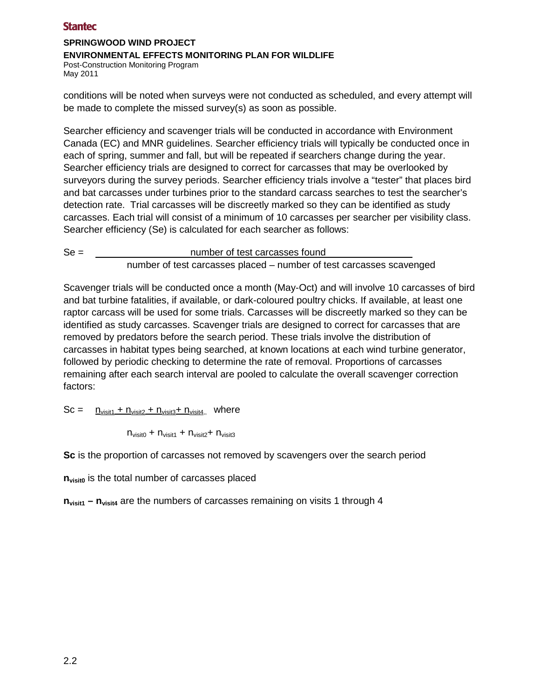## **SPRINGWOOD WIND PROJECT**

#### **ENVIRONMENTAL EFFECTS MONITORING PLAN FOR WILDLIFE**

Post-Construction Monitoring Program May 2011

conditions will be noted when surveys were not conducted as scheduled, and every attempt will be made to complete the missed survey(s) as soon as possible.

Searcher efficiency and scavenger trials will be conducted in accordance with Environment Canada (EC) and MNR guidelines. Searcher efficiency trials will typically be conducted once in each of spring, summer and fall, but will be repeated if searchers change during the year. Searcher efficiency trials are designed to correct for carcasses that may be overlooked by surveyors during the survey periods. Searcher efficiency trials involve a "tester" that places bird and bat carcasses under turbines prior to the standard carcass searches to test the searcher's detection rate. Trial carcasses will be discreetly marked so they can be identified as study carcasses. Each trial will consist of a minimum of 10 carcasses per searcher per visibility class. Searcher efficiency (Se) is calculated for each searcher as follows:

Se = number of test carcasses found number of test carcasses placed – number of test carcasses scavenged

Scavenger trials will be conducted once a month (May-Oct) and will involve 10 carcasses of bird and bat turbine fatalities, if available, or dark-coloured poultry chicks. If available, at least one raptor carcass will be used for some trials. Carcasses will be discreetly marked so they can be identified as study carcasses. Scavenger trials are designed to correct for carcasses that are removed by predators before the search period. These trials involve the distribution of carcasses in habitat types being searched, at known locations at each wind turbine generator, followed by periodic checking to determine the rate of removal. Proportions of carcasses remaining after each search interval are pooled to calculate the overall scavenger correction factors:

 $Sc =$   $n_{\text{visit1}} + n_{\text{visit2}} + n_{\text{visit3}} + n_{\text{visit4}}$ , where

 $n_{\text{visit0}} + n_{\text{visit1}} + n_{\text{visit2}} + n_{\text{visit3}}$ 

**Sc** is the proportion of carcasses not removed by scavengers over the search period

**n**<sub>visit0</sub> is the total number of carcasses placed

**n**<sub>visit1</sub> – n<sub>visit4</sub> are the numbers of carcasses remaining on visits 1 through 4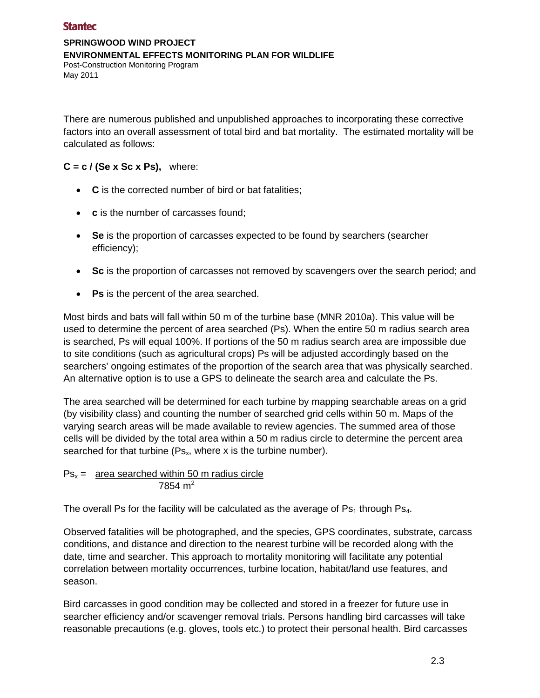There are numerous published and unpublished approaches to incorporating these corrective factors into an overall assessment of total bird and bat mortality. The estimated mortality will be calculated as follows:

## $C = c / (Se \times Sc \times Ps),$  where:

- **C** is the corrected number of bird or bat fatalities;
- **c** is the number of carcasses found;
- **Se** is the proportion of carcasses expected to be found by searchers (searcher efficiency);
- **Sc** is the proportion of carcasses not removed by scavengers over the search period; and
- **Ps** is the percent of the area searched.

Most birds and bats will fall within 50 m of the turbine base (MNR 2010a). This value will be used to determine the percent of area searched (Ps). When the entire 50 m radius search area is searched, Ps will equal 100%. If portions of the 50 m radius search area are impossible due to site conditions (such as agricultural crops) Ps will be adjusted accordingly based on the searchers' ongoing estimates of the proportion of the search area that was physically searched. An alternative option is to use a GPS to delineate the search area and calculate the Ps.

The area searched will be determined for each turbine by mapping searchable areas on a grid (by visibility class) and counting the number of searched grid cells within 50 m. Maps of the varying search areas will be made available to review agencies. The summed area of those cells will be divided by the total area within a 50 m radius circle to determine the percent area searched for that turbine ( $Ps_x$ , where x is the turbine number).

 $Ps_x =$  area searched within 50 m radius circle 7854 $m<sup>2</sup>$ 

The overall Ps for the facility will be calculated as the average of  $Ps<sub>1</sub>$  through  $Ps<sub>4</sub>$ .

Observed fatalities will be photographed, and the species, GPS coordinates, substrate, carcass conditions, and distance and direction to the nearest turbine will be recorded along with the date, time and searcher. This approach to mortality monitoring will facilitate any potential correlation between mortality occurrences, turbine location, habitat/land use features, and season.

Bird carcasses in good condition may be collected and stored in a freezer for future use in searcher efficiency and/or scavenger removal trials. Persons handling bird carcasses will take reasonable precautions (e.g. gloves, tools etc.) to protect their personal health. Bird carcasses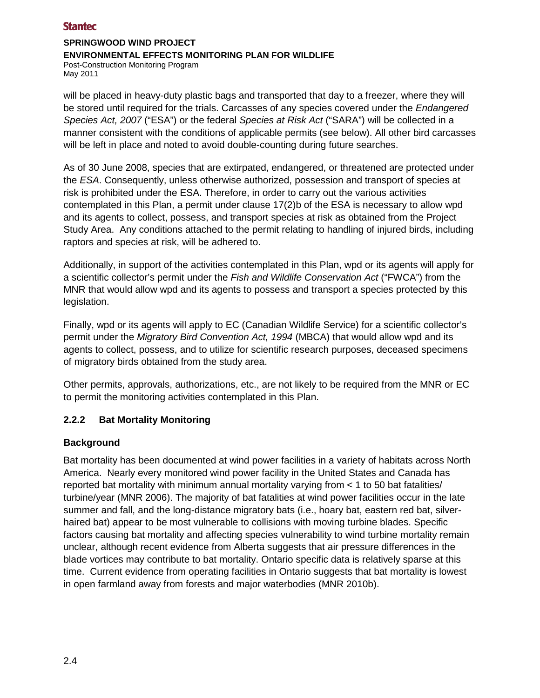#### **SPRINGWOOD WIND PROJECT ENVIRONMENTAL EFFECTS MONITORING PLAN FOR WILDLIFE** Post-Construction Monitoring Program

May 2011

will be placed in heavy-duty plastic bags and transported that day to a freezer, where they will be stored until required for the trials. Carcasses of any species covered under the *Endangered Species Act, 2007* ("ESA") or the federal *Species at Risk Act* ("SARA") will be collected in a manner consistent with the conditions of applicable permits (see below). All other bird carcasses will be left in place and noted to avoid double-counting during future searches.

As of 30 June 2008, species that are extirpated, endangered, or threatened are protected under the *ESA*. Consequently, unless otherwise authorized, possession and transport of species at risk is prohibited under the ESA. Therefore, in order to carry out the various activities contemplated in this Plan, a permit under clause 17(2)b of the ESA is necessary to allow wpd and its agents to collect, possess, and transport species at risk as obtained from the Project Study Area. Any conditions attached to the permit relating to handling of injured birds, including raptors and species at risk, will be adhered to.

Additionally, in support of the activities contemplated in this Plan, wpd or its agents will apply for a scientific collector's permit under the *Fish and Wildlife Conservation Act* ("FWCA") from the MNR that would allow wpd and its agents to possess and transport a species protected by this legislation.

Finally, wpd or its agents will apply to EC (Canadian Wildlife Service) for a scientific collector's permit under the *Migratory Bird Convention Act, 1994* (MBCA) that would allow wpd and its agents to collect, possess, and to utilize for scientific research purposes, deceased specimens of migratory birds obtained from the study area.

Other permits, approvals, authorizations, etc., are not likely to be required from the MNR or EC to permit the monitoring activities contemplated in this Plan.

## **2.2.2 Bat Mortality Monitoring**

## **Background**

Bat mortality has been documented at wind power facilities in a variety of habitats across North America. Nearly every monitored wind power facility in the United States and Canada has reported bat mortality with minimum annual mortality varying from < 1 to 50 bat fatalities/ turbine/year (MNR 2006). The majority of bat fatalities at wind power facilities occur in the late summer and fall, and the long-distance migratory bats (i.e., hoary bat, eastern red bat, silverhaired bat) appear to be most vulnerable to collisions with moving turbine blades. Specific factors causing bat mortality and affecting species vulnerability to wind turbine mortality remain unclear, although recent evidence from Alberta suggests that air pressure differences in the blade vortices may contribute to bat mortality. Ontario specific data is relatively sparse at this time. Current evidence from operating facilities in Ontario suggests that bat mortality is lowest in open farmland away from forests and major waterbodies (MNR 2010b).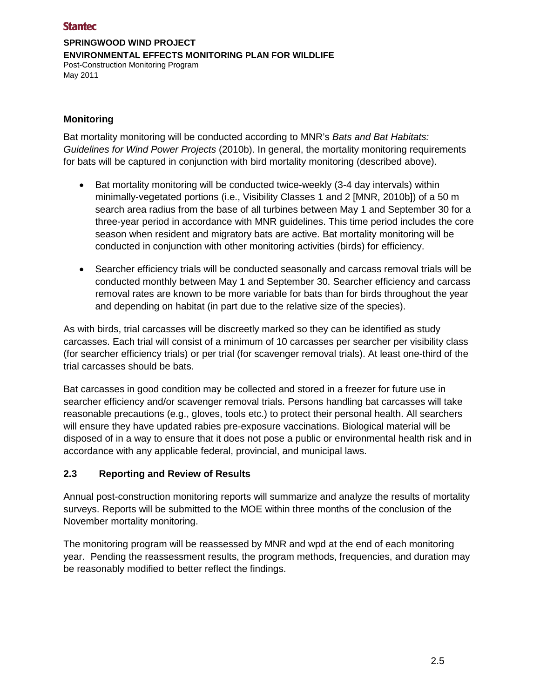#### **SPRINGWOOD WIND PROJECT ENVIRONMENTAL EFFECTS MONITORING PLAN FOR WILDLIFE** Post-Construction Monitoring Program May 2011

#### **Monitoring**

Bat mortality monitoring will be conducted according to MNR's *Bats and Bat Habitats: Guidelines for Wind Power Projects* (2010b). In general, the mortality monitoring requirements for bats will be captured in conjunction with bird mortality monitoring (described above).

- Bat mortality monitoring will be conducted twice-weekly (3-4 day intervals) within minimally-vegetated portions (i.e., Visibility Classes 1 and 2 [MNR, 2010b]) of a 50 m search area radius from the base of all turbines between May 1 and September 30 for a three-year period in accordance with MNR guidelines. This time period includes the core season when resident and migratory bats are active. Bat mortality monitoring will be conducted in conjunction with other monitoring activities (birds) for efficiency.
- Searcher efficiency trials will be conducted seasonally and carcass removal trials will be conducted monthly between May 1 and September 30. Searcher efficiency and carcass removal rates are known to be more variable for bats than for birds throughout the year and depending on habitat (in part due to the relative size of the species).

As with birds, trial carcasses will be discreetly marked so they can be identified as study carcasses. Each trial will consist of a minimum of 10 carcasses per searcher per visibility class (for searcher efficiency trials) or per trial (for scavenger removal trials). At least one-third of the trial carcasses should be bats.

Bat carcasses in good condition may be collected and stored in a freezer for future use in searcher efficiency and/or scavenger removal trials. Persons handling bat carcasses will take reasonable precautions (e.g., gloves, tools etc.) to protect their personal health. All searchers will ensure they have updated rabies pre-exposure vaccinations. Biological material will be disposed of in a way to ensure that it does not pose a public or environmental health risk and in accordance with any applicable federal, provincial, and municipal laws.

#### **2.3 Reporting and Review of Results**

Annual post-construction monitoring reports will summarize and analyze the results of mortality surveys. Reports will be submitted to the MOE within three months of the conclusion of the November mortality monitoring.

The monitoring program will be reassessed by MNR and wpd at the end of each monitoring year. Pending the reassessment results, the program methods, frequencies, and duration may be reasonably modified to better reflect the findings.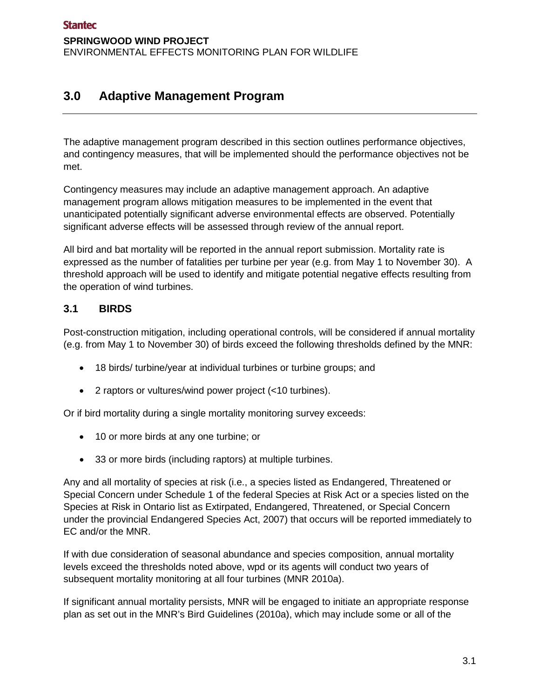# **3.0 Adaptive Management Program**

The adaptive management program described in this section outlines performance objectives, and contingency measures, that will be implemented should the performance objectives not be met.

Contingency measures may include an adaptive management approach. An adaptive management program allows mitigation measures to be implemented in the event that unanticipated potentially significant adverse environmental effects are observed. Potentially significant adverse effects will be assessed through review of the annual report.

All bird and bat mortality will be reported in the annual report submission. Mortality rate is expressed as the number of fatalities per turbine per year (e.g. from May 1 to November 30). A threshold approach will be used to identify and mitigate potential negative effects resulting from the operation of wind turbines.

## **3.1 BIRDS**

Post-construction mitigation, including operational controls, will be considered if annual mortality (e.g. from May 1 to November 30) of birds exceed the following thresholds defined by the MNR:

- 18 birds/ turbine/year at individual turbines or turbine groups; and
- 2 raptors or vultures/wind power project (<10 turbines).

Or if bird mortality during a single mortality monitoring survey exceeds:

- 10 or more birds at any one turbine; or
- 33 or more birds (including raptors) at multiple turbines.

Any and all mortality of species at risk (i.e., a species listed as Endangered, Threatened or Special Concern under Schedule 1 of the federal Species at Risk Act or a species listed on the Species at Risk in Ontario list as Extirpated, Endangered, Threatened, or Special Concern under the provincial Endangered Species Act, 2007) that occurs will be reported immediately to EC and/or the MNR.

If with due consideration of seasonal abundance and species composition, annual mortality levels exceed the thresholds noted above, wpd or its agents will conduct two years of subsequent mortality monitoring at all four turbines (MNR 2010a).

If significant annual mortality persists, MNR will be engaged to initiate an appropriate response plan as set out in the MNR's Bird Guidelines (2010a), which may include some or all of the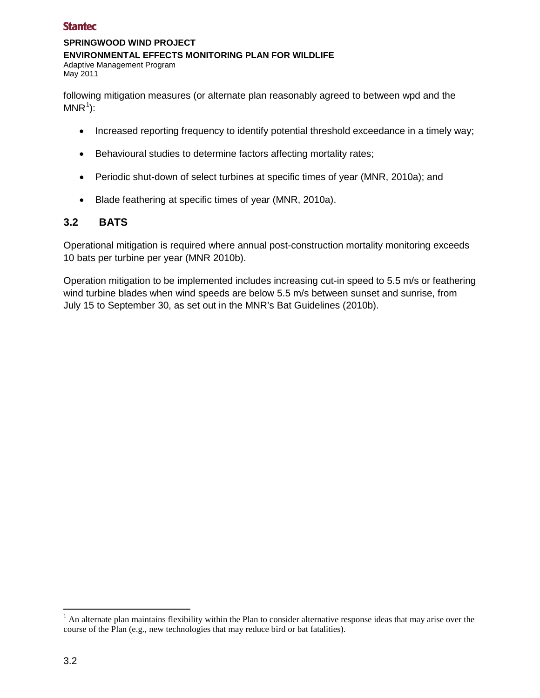#### **SPRINGWOOD WIND PROJECT ENVIRONMENTAL EFFECTS MONITORING PLAN FOR WILDLIFE** Adaptive Management Program May 2011

following mitigation measures (or alternate plan reasonably agreed to between wpd and the  $MNR^1$ :

- Increased reporting frequency to identify potential threshold exceedance in a timely way;
- Behavioural studies to determine factors affecting mortality rates;
- Periodic shut-down of select turbines at specific times of year (MNR, 2010a); and
- Blade feathering at specific times of year (MNR, 2010a).

## **3.2 BATS**

Operational mitigation is required where annual post-construction mortality monitoring exceeds 10 bats per turbine per year (MNR 2010b).

Operation mitigation to be implemented includes increasing cut-in speed to 5.5 m/s or feathering wind turbine blades when wind speeds are below 5.5 m/s between sunset and sunrise, from July 15 to September 30, as set out in the MNR's Bat Guidelines (2010b).

 $\overline{a}$ 

 $<sup>1</sup>$  An alternate plan maintains flexibility within the Plan to consider alternative response ideas that may arise over the</sup> course of the Plan (e.g., new technologies that may reduce bird or bat fatalities).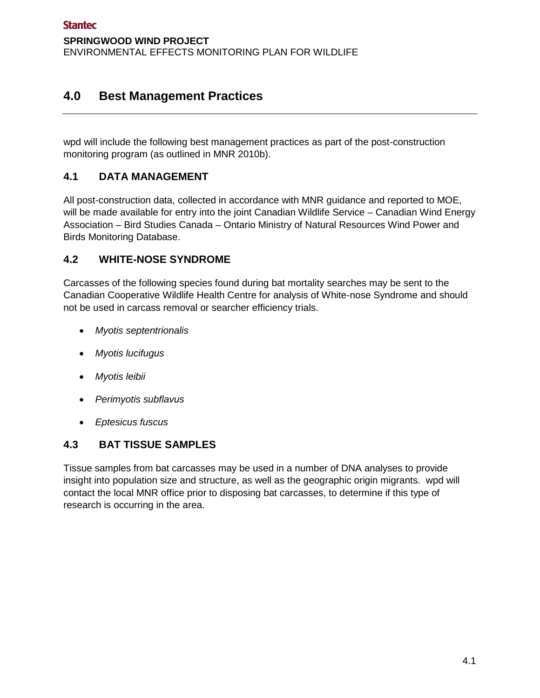# **4.0 Best Management Practices**

wpd will include the following best management practices as part of the post-construction monitoring program (as outlined in MNR 2010b).

## **4.1 DATA MANAGEMENT**

All post-construction data, collected in accordance with MNR guidance and reported to MOE, will be made available for entry into the joint Canadian Wildlife Service – Canadian Wind Energy Association – Bird Studies Canada – Ontario Ministry of Natural Resources Wind Power and Birds Monitoring Database.

## **4.2 WHITE-NOSE SYNDROME**

Carcasses of the following species found during bat mortality searches may be sent to the Canadian Cooperative Wildlife Health Centre for analysis of White-nose Syndrome and should not be used in carcass removal or searcher efficiency trials.

- *Myotis septentrionalis*
- *Myotis lucifugus*
- *Myotis leibii*
- *Perimyotis subflavus*
- *Eptesicus fuscus*

## **4.3 BAT TISSUE SAMPLES**

Tissue samples from bat carcasses may be used in a number of DNA analyses to provide insight into population size and structure, as well as the geographic origin migrants. wpd will contact the local MNR office prior to disposing bat carcasses, to determine if this type of research is occurring in the area.